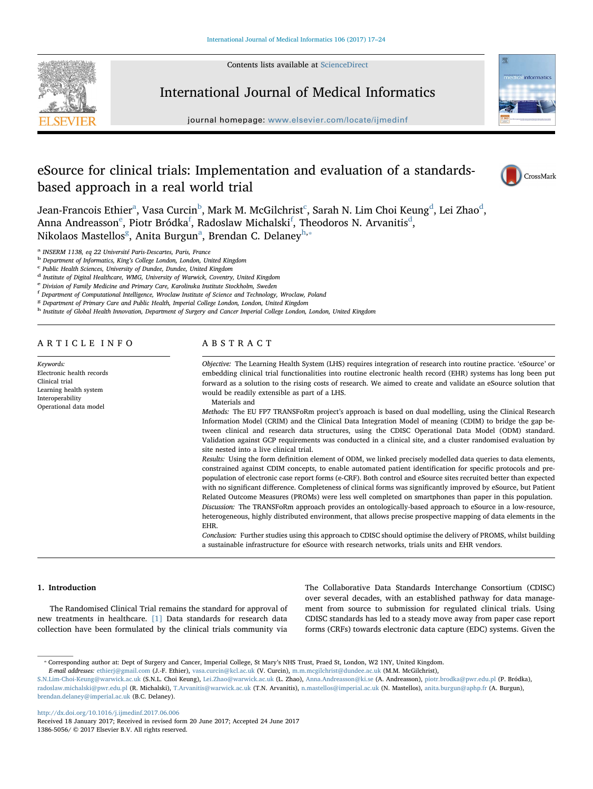Contents lists available at [ScienceDirect](http://www.sciencedirect.com/science/journal/13865056)



International Journal of Medical Informatics

journal homepage: [www.elsevier.com/locate/ijmedinf](http://www.elsevier.com/locate/ijmedinf)



# eSource for clinical trials: Implementation and evaluation of a standardsbased approach in a real world trial



Je[a](#page-0-0)n-Francois Ethier<sup>a</sup>, Vasa Curcin<sup>[b](#page-0-1)</sup>, Mark M. M[c](#page-0-2)Gilchrist<sup>c</sup>, Sarah N. Lim Choi Keung<sup>[d](#page-0-3)</sup>, Lei Zhao<sup>d</sup>, Anna Andr[e](#page-0-4)asson $^{\rm e}$ , Piotr Bró[d](#page-0-3)ka $^{\rm f}$  $^{\rm f}$  $^{\rm f}$ , Radoslaw Michalski $^{\rm f}$ , Theodoros N. Arvanitis $^{\rm d}$ , Nikolaos Mastellos<sup>[g](#page-0-6)</sup>, Anit[a](#page-0-0) Burgun<sup>a</sup>, Brendan C. Delaney<sup>[h,](#page-0-7)</sup>\*

<span id="page-0-0"></span><sup>a</sup> INSERM 1138, eq 22 Université Paris-Descartes, Paris, France

<span id="page-0-1"></span> $\rm ^b$  Department of Informatics, King's College London, London, United Kingdom  $\rm ^c$  Public Health Sciences, University of Dundee, Dundee, United Kingdom

<span id="page-0-2"></span>

<span id="page-0-3"></span><sup>d</sup> Institute of Digital Healthcare, WMG, University of Warwick, Coventry, United Kingdom e Division of Family Medicine and Primary Care, Karolinska Institute Stockholm, Sweden

<span id="page-0-4"></span>

<span id="page-0-5"></span><sup>f</sup> Department of Computational Intelligence, Wroclaw Institute of Science and Technology, Wroclaw, Poland

<span id="page-0-6"></span><sup>g</sup> Department of Primary Care and Public Health, Imperial College London, London, United Kingdom

<span id="page-0-7"></span><sup>h</sup> Institute of Global Health Innovation, Department of Surgery and Cancer Imperial College London, London, United Kingdom

ARTICLE INFO

Keywords: Electronic health records Clinical trial Learning health system Interoperability Operational data model

# ABSTRACT

Objective: The Learning Health System (LHS) requires integration of research into routine practice. 'eSource' or embedding clinical trial functionalities into routine electronic health record (EHR) systems has long been put forward as a solution to the rising costs of research. We aimed to create and validate an eSource solution that would be readily extensible as part of a LHS.

Materials and

Methods: The EU FP7 TRANSFoRm project's approach is based on dual modelling, using the Clinical Research Information Model (CRIM) and the Clinical Data Integration Model of meaning (CDIM) to bridge the gap between clinical and research data structures, using the CDISC Operational Data Model (ODM) standard. Validation against GCP requirements was conducted in a clinical site, and a cluster randomised evaluation by site nested into a live clinical trial.

Results: Using the form definition element of ODM, we linked precisely modelled data queries to data elements, constrained against CDIM concepts, to enable automated patient identification for specific protocols and prepopulation of electronic case report forms (e-CRF). Both control and eSource sites recruited better than expected with no significant difference. Completeness of clinical forms was significantly improved by eSource, but Patient Related Outcome Measures (PROMs) were less well completed on smartphones than paper in this population. Discussion: The TRANSFoRm approach provides an ontologically-based approach to eSource in a low-resource,

heterogeneous, highly distributed environment, that allows precise prospective mapping of data elements in the EHR.

Conclusion: Further studies using this approach to CDISC should optimise the delivery of PROMS, whilst building a sustainable infrastructure for eSource with research networks, trials units and EHR vendors.

### 1. Introduction

The Randomised Clinical Trial remains the standard for approval of new treatments in healthcare. [\[1\]](#page-7-0) Data standards for research data collection have been formulated by the clinical trials community via

The Collaborative Data Standards Interchange Consortium (CDISC) over several decades, with an established pathway for data management from source to submission for regulated clinical trials. Using CDISC standards has led to a steady move away from paper case report forms (CRFs) towards electronic data capture (EDC) systems. Given the

<http://dx.doi.org/10.1016/j.ijmedinf.2017.06.006>

<span id="page-0-8"></span><sup>⁎</sup> Corresponding author at: Dept of Surgery and Cancer, Imperial College, St Mary's NHS Trust, Praed St, London, W2 1NY, United Kingdom.

E-mail addresses: [ethierj@gmail.com](mailto:ethierj@gmail.com) (J.-F. Ethier), [vasa.curcin@kcl.ac.uk](mailto:vasa.curcin@kcl.ac.uk) (V. Curcin), [m.m.mcgilchrist@dundee.ac.uk](mailto:m.m.mcgilchrist@dundee.ac.uk) (M.M. McGilchrist),

[S.N.Lim-Choi-Keung@warwick.ac.uk](mailto:S.N.Lim-Choi-Keung@warwick.ac.uk) (S.N.L. Choi Keung), [Lei.Zhao@warwick.ac.uk](mailto:Lei.Zhao@warwick.ac.uk) (L. Zhao), [Anna.Andreasson@ki.se](mailto:Anna.Andreasson@ki.se) (A. Andreasson), [piotr.brodka@pwr.edu.pl](mailto:piotr.brodka@pwr.edu.pl) (P. Bródka), [radoslaw.michalski@pwr.edu.pl](mailto:radoslaw.michalski@pwr.edu.pl) (R. Michalski), [T.Arvanitis@warwick.ac.uk](mailto:T.Arvanitis@warwick.ac.uk) (T.N. Arvanitis), [n.mastellos@imperial.ac.uk](mailto:n.mastellos@imperial.ac.uk) (N. Mastellos), [anita.burgun@aphp.fr](mailto:anita.burgun@aphp.fr) (A. Burgun), [brendan.delaney@imperial.ac.uk](mailto:brendan.delaney@imperial.ac.uk) (B.C. Delaney).

Received 18 January 2017; Received in revised form 20 June 2017; Accepted 24 June 2017 1386-5056/ © 2017 Elsevier B.V. All rights reserved.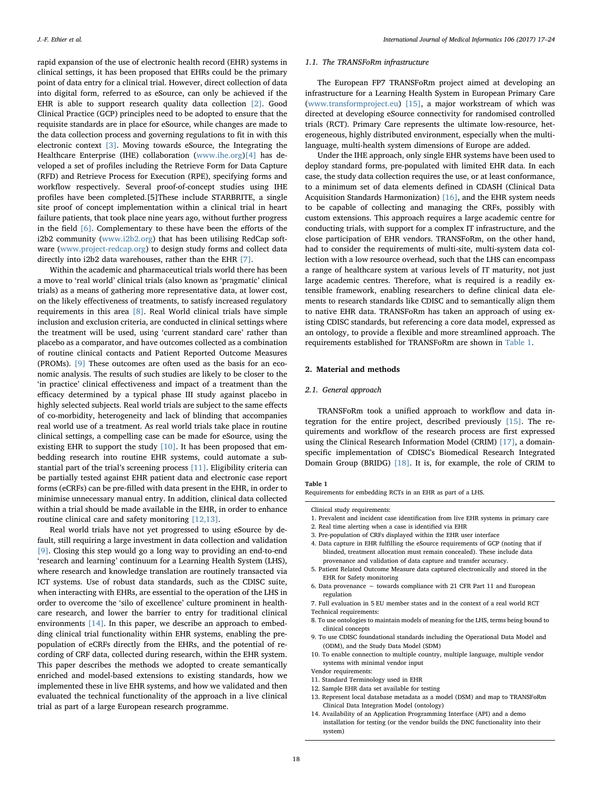rapid expansion of the use of electronic health record (EHR) systems in clinical settings, it has been proposed that EHRs could be the primary point of data entry for a clinical trial. However, direct collection of data into digital form, referred to as eSource, can only be achieved if the EHR is able to support research quality data collection [\[2\]](#page-7-1). Good Clinical Practice (GCP) principles need to be adopted to ensure that the requisite standards are in place for eSource, while changes are made to the data collection process and governing regulations to fit in with this electronic context [\[3\]](#page-7-2). Moving towards eSource, the Integrating the Healthcare Enterprise (IHE) collaboration ([www.ihe.org](http://www.ihe.org)[\)\[4\]](#page-7-3) has developed a set of profiles including the Retrieve Form for Data Capture (RFD) and Retrieve Process for Execution (RPE), specifying forms and workflow respectively. Several proof-of-concept studies using IHE profiles have been completed.[5]These include STARBRITE, a single site proof of concept implementation within a clinical trial in heart failure patients, that took place nine years ago, without further progress in the field [\[6\]](#page-7-4). Complementary to these have been the efforts of the i2b2 community ([www.i2b2.org](http://www.i2b2.org)) that has been utilising RedCap software ([www.project-redcap.org](http://www.project-redcap.org)) to design study forms and collect data directly into i2b2 data warehouses, rather than the EHR [\[7\]](#page-7-5).

Within the academic and pharmaceutical trials world there has been a move to 'real world' clinical trials (also known as 'pragmatic' clinical trials) as a means of gathering more representative data, at lower cost, on the likely effectiveness of treatments, to satisfy increased regulatory requirements in this area [\[8\].](#page-7-6) Real World clinical trials have simple inclusion and exclusion criteria, are conducted in clinical settings where the treatment will be used, using 'current standard care' rather than placebo as a comparator, and have outcomes collected as a combination of routine clinical contacts and Patient Reported Outcome Measures (PROMs). [\[9\]](#page-7-7) These outcomes are often used as the basis for an economic analysis. The results of such studies are likely to be closer to the 'in practice' clinical effectiveness and impact of a treatment than the efficacy determined by a typical phase III study against placebo in highly selected subjects. Real world trials are subject to the same effects of co-morbidity, heterogeneity and lack of blinding that accompanies real world use of a treatment. As real world trials take place in routine clinical settings, a compelling case can be made for eSource, using the existing EHR to support the study [\[10\].](#page-7-8) It has been proposed that embedding research into routine EHR systems, could automate a substantial part of the trial's screening process [\[11\]](#page-7-9). Eligibility criteria can be partially tested against EHR patient data and electronic case report forms (eCRFs) can be pre-filled with data present in the EHR, in order to minimise unnecessary manual entry. In addition, clinical data collected within a trial should be made available in the EHR, in order to enhance routine clinical care and safety monitoring [\[12,13\]](#page-7-10).

Real world trials have not yet progressed to using eSource by default, still requiring a large investment in data collection and validation [\[9\].](#page-7-7) Closing this step would go a long way to providing an end-to-end 'research and learning' continuum for a Learning Health System (LHS), where research and knowledge translation are routinely transacted via ICT systems. Use of robust data standards, such as the CDISC suite, when interacting with EHRs, are essential to the operation of the LHS in order to overcome the 'silo of excellence' culture prominent in healthcare research, and lower the barrier to entry for traditional clinical environments [\[14\]](#page-7-11). In this paper, we describe an approach to embedding clinical trial functionality within EHR systems, enabling the prepopulation of eCRFs directly from the EHRs, and the potential of recording of CRF data, collected during research, within the EHR system. This paper describes the methods we adopted to create semantically enriched and model-based extensions to existing standards, how we implemented these in live EHR systems, and how we validated and then evaluated the technical functionality of the approach in a live clinical trial as part of a large European research programme.

#### 1.1. The TRANSFoRm infrastructure

The European FP7 TRANSFoRm project aimed at developing an infrastructure for a Learning Health System in European Primary Care ([www.transformproject.eu](http://www.transformproject.eu)) [\[15\],](#page-7-12) a major workstream of which was directed at developing eSource connectivity for randomised controlled trials (RCT). Primary Care represents the ultimate low-resource, heterogeneous, highly distributed environment, especially when the multilanguage, multi-health system dimensions of Europe are added.

Under the IHE approach, only single EHR systems have been used to deploy standard forms, pre-populated with limited EHR data. In each case, the study data collection requires the use, or at least conformance, to a minimum set of data elements defined in CDASH (Clinical Data Acquisition Standards Harmonization) [\[16\],](#page-7-13) and the EHR system needs to be capable of collecting and managing the CRFs, possibly with custom extensions. This approach requires a large academic centre for conducting trials, with support for a complex IT infrastructure, and the close participation of EHR vendors. TRANSFoRm, on the other hand, had to consider the requirements of multi-site, multi-system data collection with a low resource overhead, such that the LHS can encompass a range of healthcare system at various levels of IT maturity, not just large academic centres. Therefore, what is required is a readily extensible framework, enabling researchers to define clinical data elements to research standards like CDISC and to semantically align them to native EHR data. TRANSFoRm has taken an approach of using existing CDISC standards, but referencing a core data model, expressed as an ontology, to provide a flexible and more streamlined approach. The requirements established for TRANSFoRm are shown in [Table 1](#page-1-0).

### 2. Material and methods

### 2.1. General approach

TRANSFoRm took a unified approach to workflow and data integration for the entire project, described previously [\[15\].](#page-7-12) The requirements and workflow of the research process are first expressed using the Clinical Research Information Model (CRIM) [\[17\]](#page-7-14), a domainspecific implementation of CDISC's Biomedical Research Integrated Domain Group (BRIDG) [\[18\].](#page-7-15) It is, for example, the role of CRIM to

### <span id="page-1-0"></span>Table 1

Requirements for embedding RCTs in an EHR as part of a LHS.

1. Prevalent and incident case identification from live EHR systems in primary care

- 3. Pre-population of CRFs displayed within the EHR user interface
- 4. Data capture in EHR fulfilling the eSource requirements of GCP (noting that if blinded, treatment allocation must remain concealed). These include data provenance and validation of data capture and transfer accuracy.
- 5. Patient Related Outcome Measure data captured electronically and stored in the EHR for Safety monitoring
- 6. Data provenance − towards compliance with 21 CFR Part 11 and European regulation
- 7. Full evaluation in 5 EU member states and in the context of a real world RCT Technical requirements:
- 8. To use ontologies to maintain models of meaning for the LHS, terms being bound to clinical concepts
- 9. To use CDISC foundational standards including the Operational Data Model and (ODM), and the Study Data Model (SDM)
- 10. To enable connection to multiple country, multiple language, multiple vendor systems with minimal vendor input
- Vendor requirements:
- 11. Standard Terminology used in EHR
- 12. Sample EHR data set available for testing
- 13. Represent local database metadata as a model (DSM) and map to TRANSFoRm Clinical Data Integration Model (ontology)
- 14. Availability of an Application Programming Interface (API) and a demo installation for testing (or the vendor builds the DNC functionality into their system)

Clinical study requirements:

<sup>2.</sup> Real time alerting when a case is identified via EHR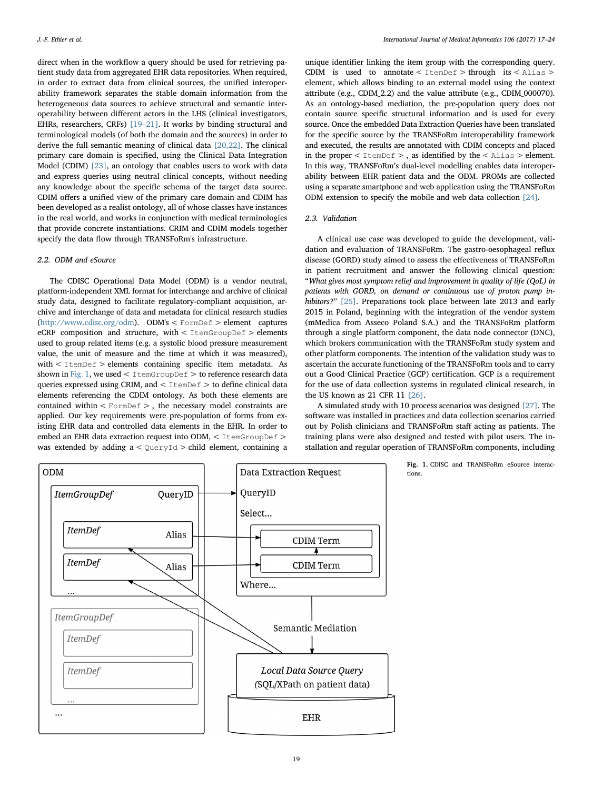direct when in the workflow a query should be used for retrieving patient study data from aggregated EHR data repositories. When required, in order to extract data from clinical sources, the unified interoperability framework separates the stable domain information from the heterogeneous data sources to achieve structural and semantic interoperability between different actors in the LHS (clinical investigators, EHRs, researchers, CRFs) [\[19](#page-7-16)–21]. It works by binding structural and terminological models (of both the domain and the sources) in order to derive the full semantic meaning of clinical data [\[20,22\].](#page-7-17) The clinical primary care domain is specified, using the Clinical Data Integration Model (CDIM) [\[23\]](#page-7-18), an ontology that enables users to work with data and express queries using neutral clinical concepts, without needing any knowledge about the specific schema of the target data source. CDIM offers a unified view of the primary care domain and CDIM has been developed as a realist ontology, all of whose classes have instances in the real world, and works in conjunction with medical terminologies that provide concrete instantiations. CRIM and CDIM models together specify the data flow through TRANSFoRm's infrastructure.

### 2.2. ODM and eSource

The CDISC Operational Data Model (ODM) is a vendor neutral, platform-independent XML format for interchange and archive of clinical study data, designed to facilitate regulatory-compliant acquisition, archive and interchange of data and metadata for clinical research studies ([http://www.cdisc.org/odm\)](http://www.cdisc.org/odm). ODM's < FormDef > element captures eCRF composition and structure, with < ItemGroupDef > elements used to group related items (e.g. a systolic blood pressure measurement value, the unit of measure and the time at which it was measured), with < ItemDef > elements containing specific item metadata. As shown in [Fig. 1,](#page-2-0) we used < ItemGroupDef > to reference research data queries expressed using CRIM, and  $\lt$  ItemDef  $>$  to define clinical data elements referencing the CDIM ontology. As both these elements are contained within  $\leq$  FormDef  $>$ , the necessary model constraints are applied. Our key requirements were pre-population of forms from existing EHR data and controlled data elements in the EHR. In order to embed an EHR data extraction request into ODM, < ItemGroupDef > was extended by adding  $a <$  QueryId  $>$  child element, containing a

unique identifier linking the item group with the corresponding query. CDIM is used to annotate <  $ItemDef$  > through its <  $Alias$  > element, which allows binding to an external model using the context attribute (e.g., CDIM\_2.2) and the value attribute (e.g., CDIM\_000070). As an ontology-based mediation, the pre-population query does not contain source specific structural information and is used for every source. Once the embedded Data Extraction Queries have been translated for the specific source by the TRANSFoRm interoperability framework and executed, the results are annotated with CDIM concepts and placed in the proper  $\leq$  ItemDef  $\geq$ , as identified by the  $\leq$  Alias  $\geq$  element. In this way, TRANSFoRm's dual-level modelling enables data interoperability between EHR patient data and the ODM. PROMs are collected using a separate smartphone and web application using the TRANSFoRm ODM extension to specify the mobile and web data collection [\[24\]](#page-7-19).

# 2.3. Validation

A clinical use case was developed to guide the development, validation and evaluation of TRANSFoRm. The gastro-oesophageal reflux disease (GORD) study aimed to assess the effectiveness of TRANSFoRm in patient recruitment and answer the following clinical question: "What gives most symptom relief and improvement in quality of life (QoL) in patients with GORD, on demand or continuous use of proton pump in-hibitors?" [\[25\].](#page-7-20) Preparations took place between late 2013 and early 2015 in Poland, beginning with the integration of the vendor system (mMedica from Asseco Poland S.A.) and the TRANSFoRm platform through a single platform component, the data node connector (DNC), which brokers communication with the TRANSFoRm study system and other platform components. The intention of the validation study was to ascertain the accurate functioning of the TRANSFoRm tools and to carry out a Good Clinical Practice (GCP) certification. GCP is a requirement for the use of data collection systems in regulated clinical research, in the US known as 21 CFR 11 [\[26\]](#page-7-21).

A simulated study with 10 process scenarios was designed [\[27\]](#page-7-22). The software was installed in practices and data collection scenarios carried out by Polish clinicians and TRANSFoRm staff acting as patients. The training plans were also designed and tested with pilot users. The installation and regular operation of TRANSFoRm components, including

<span id="page-2-0"></span>

Fig. 1. CDISC and TRANSFoRm eSource interactions.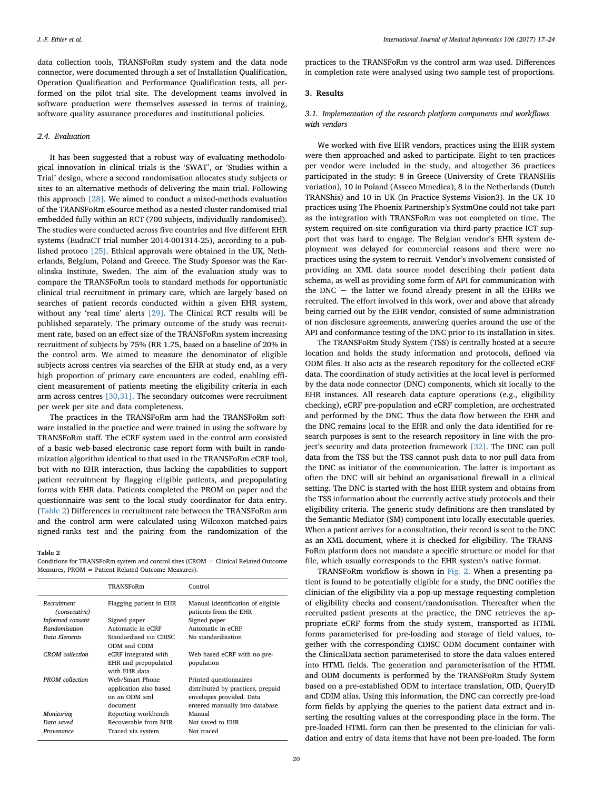data collection tools, TRANSFoRm study system and the data node connector, were documented through a set of Installation Qualification, Operation Qualification and Performance Qualification tests, all performed on the pilot trial site. The development teams involved in software production were themselves assessed in terms of training, software quality assurance procedures and institutional policies.

### 2.4. Evaluation

It has been suggested that a robust way of evaluating methodological innovation in clinical trials is the 'SWAT', or 'Studies within a Trial' design, where a second randomisation allocates study subjects or sites to an alternative methods of delivering the main trial. Following this approach [\[28\]](#page-7-23). We aimed to conduct a mixed-methods evaluation of the TRANSFoRm eSource method as a nested cluster randomised trial embedded fully within an RCT (700 subjects, individually randomised). The studies were conducted across five countries and five different EHR systems (EudraCT trial number 2014-001314-25), according to a published protoco [\[25\].](#page-7-20) Ethical approvals were obtained in the UK, Netherlands, Belgium, Poland and Greece. The Study Sponsor was the Karolinska Institute, Sweden. The aim of the evaluation study was to compare the TRANSFoRm tools to standard methods for opportunistic clinical trial recruitment in primary care, which are largely based on searches of patient records conducted within a given EHR system, without any 'real time' alerts [\[29\].](#page-7-24) The Clinical RCT results will be published separately. The primary outcome of the study was recruitment rate, based on an effect size of the TRANSFoRm system increasing recruitment of subjects by 75% (RR 1.75, based on a baseline of 20% in the control arm. We aimed to measure the denominator of eligible subjects across centres via searches of the EHR at study end, as a very high proportion of primary care encounters are coded, enabling efficient measurement of patients meeting the eligibility criteria in each arm across centres [\[30,31\].](#page-7-25) The secondary outcomes were recruitment per week per site and data completeness.

The practices in the TRANSFoRm arm had the TRANSFoRm software installed in the practice and were trained in using the software by TRANSFoRm staff. The eCRF system used in the control arm consisted of a basic web-based electronic case report form with built in randomization algorithm identical to that used in the TRANSFoRm eCRF tool, but with no EHR interaction, thus lacking the capabilities to support patient recruitment by flagging eligible patients, and prepopulating forms with EHR data. Patients completed the PROM on paper and the questionnaire was sent to the local study coordinator for data entry. ([Table 2\)](#page-3-0) Differences in recruitment rate between the TRANSFoRm arm and the control arm were calculated using Wilcoxon matched-pairs signed-ranks test and the pairing from the randomization of the

<span id="page-3-0"></span>Table 2

Conditions for TRANSFoRm system and control sites (CROM = Clinical Related Outcome Measures, PROM = Patient Related Outcome Measures).

|                              | TRANSFoRm                                                              | Control                                                                                                                   |
|------------------------------|------------------------------------------------------------------------|---------------------------------------------------------------------------------------------------------------------------|
| Recruitment<br>(consecutive) | Flagging patient in EHR                                                | Manual identification of eligible<br>patients from the EHR                                                                |
| Informed consent             | Signed paper                                                           | Signed paper                                                                                                              |
| Randomisation                | Automatic in eCRF                                                      | Automatic in eCRF                                                                                                         |
| <b>Data Elements</b>         | Standardised via CDISC<br>ODM and CDIM                                 | No standardisation                                                                                                        |
| CROM collection              | eCRF integrated with<br>EHR and prepopulated<br>with EHR data          | Web based eCRF with no pre-<br>population                                                                                 |
| <b>PROM</b> collection       | Web/Smart Phone<br>application also based<br>on an ODM xml<br>document | Printed questionnaires<br>distributed by practices, prepaid<br>envelopes provided. Data<br>entered manually into database |
| Monitoring                   | Reporting workbench                                                    | Manual                                                                                                                    |
| Data saved                   | Recoverable from EHR                                                   | Not saved to EHR                                                                                                          |
| Provenance                   | Traced via system                                                      | Not traced                                                                                                                |

practices to the TRANSFoRm vs the control arm was used. Differences in completion rate were analysed using two sample test of proportions.

# 3. Results

### 3.1. Implementation of the research platform components and workflows with vendors

We worked with five EHR vendors, practices using the EHR system were then approached and asked to participate. Eight to ten practices per vendor were included in the study, and altogether 36 practices participated in the study: 8 in Greece (University of Crete TRANSHis variation), 10 in Poland (Asseco Mmedica), 8 in the Netherlands (Dutch TRANShis) and 10 in UK (In Practice Systems Vision3). In the UK 10 practices using The Phoenix Partnership's SystmOne could not take part as the integration with TRANSFoRm was not completed on time. The system required on-site configuration via third-party practice ICT support that was hard to engage. The Belgian vendor's EHR system deployment was delayed for commercial reasons and there were no practices using the system to recruit. Vendor's involvement consisted of providing an XML data source model describing their patient data schema, as well as providing some form of API for communication with the DNC − the latter we found already present in all the EHRs we recruited. The effort involved in this work, over and above that already being carried out by the EHR vendor, consisted of some administration of non disclosure agreements, answering queries around the use of the API and conformance testing of the DNC prior to its installation in sites.

The TRANSFoRm Study System (TSS) is centrally hosted at a secure location and holds the study information and protocols, defined via ODM files. It also acts as the research repository for the collected eCRF data. The coordination of study activities at the local level is performed by the data node connector (DNC) components, which sit locally to the EHR instances. All research data capture operations (e.g., eligibility checking), eCRF pre-population and eCRF completion, are orchestrated and performed by the DNC. Thus the data flow between the EHR and the DNC remains local to the EHR and only the data identified for research purposes is sent to the research repository in line with the project's security and data protection framework [\[32\]](#page-7-26). The DNC can pull data from the TSS but the TSS cannot push data to nor pull data from the DNC as initiator of the communication. The latter is important as often the DNC will sit behind an organisational firewall in a clinical setting. The DNC is started with the host EHR system and obtains from the TSS information about the currently active study protocols and their eligibility criteria. The generic study definitions are then translated by the Semantic Mediator (SM) component into locally executable queries. When a patient arrives for a consultation, their record is sent to the DNC as an XML document, where it is checked for eligibility. The TRANS-FoRm platform does not mandate a specific structure or model for that file, which usually corresponds to the EHR system's native format.

TRANSFoRm workflow is shown in [Fig. 2](#page-4-0). When a presenting patient is found to be potentially eligible for a study, the DNC notifies the clinician of the eligibility via a pop-up message requesting completion of eligibility checks and consent/randomisation. Thereafter when the recruited patient presents at the practice, the DNC retrieves the appropriate eCRF forms from the study system, transported as HTML forms parameterised for pre-loading and storage of field values, together with the corresponding CDISC ODM document container with the ClinicalData section parameterised to store the data values entered into HTML fields. The generation and parameterisation of the HTML and ODM documents is performed by the TRANSFoRm Study System based on a pre-established ODM to interface translation, OID, QueryID and CDIM alias. Using this information, the DNC can correctly pre-load form fields by applying the queries to the patient data extract and inserting the resulting values at the corresponding place in the form. The pre-loaded HTML form can then be presented to the clinician for validation and entry of data items that have not been pre-loaded. The form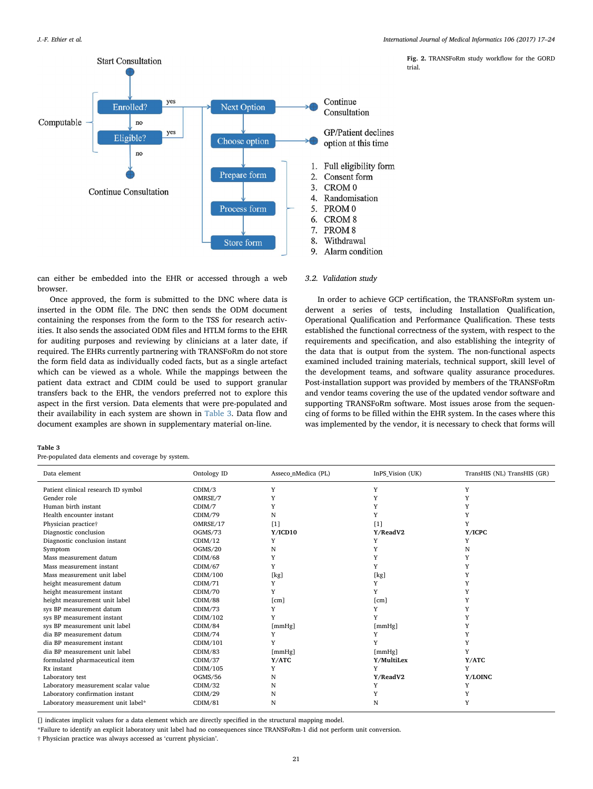Fig. 2. TRANSFoRm study workflow for the GORD trial.

<span id="page-4-0"></span>

can either be embedded into the EHR or accessed through a web browser.

Once approved, the form is submitted to the DNC where data is inserted in the ODM file. The DNC then sends the ODM document containing the responses from the form to the TSS for research activities. It also sends the associated ODM files and HTLM forms to the EHR for auditing purposes and reviewing by clinicians at a later date, if required. The EHRs currently partnering with TRANSFoRm do not store the form field data as individually coded facts, but as a single artefact which can be viewed as a whole. While the mappings between the patient data extract and CDIM could be used to support granular transfers back to the EHR, the vendors preferred not to explore this aspect in the first version. Data elements that were pre-populated and their availability in each system are shown in [Table 3.](#page-4-1) Data flow and document examples are shown in supplementary material on-line.

### 3.2. Validation study

In order to achieve GCP certification, the TRANSFoRm system underwent a series of tests, including Installation Qualification, Operational Qualification and Performance Qualification. These tests established the functional correctness of the system, with respect to the requirements and specification, and also establishing the integrity of the data that is output from the system. The non-functional aspects examined included training materials, technical support, skill level of the development teams, and software quality assurance procedures. Post-installation support was provided by members of the TRANSFoRm and vendor teams covering the use of the updated vendor software and supporting TRANSFoRm software. Most issues arose from the sequencing of forms to be filled within the EHR system. In the cases where this was implemented by the vendor, it is necessary to check that forms will

#### <span id="page-4-1"></span>Table 3

Pre-populated data elements and coverage by system.

| Data element                        | Ontology ID | Asseco_nMedica (PL) | InPS Vision (UK) | TransHIS (NL) TransHIS (GR) |
|-------------------------------------|-------------|---------------------|------------------|-----------------------------|
| Patient clinical research ID symbol | CDIM/3      | Y                   | Y                | Y                           |
| Gender role                         | OMRSE/7     |                     |                  |                             |
| Human birth instant                 | CDIM/7      | Y                   |                  |                             |
| Health encounter instant            | CDIM/79     | N                   |                  |                             |
| Physician practice†                 | OMRSE/17    | $[1]$               | [1]              |                             |
| Diagnostic conclusion               | OGMS/73     | Y/ICD10             | Y/ReadV2         | Y/ICPC                      |
| Diagnostic conclusion instant       | CDIM/12     | Y                   | Y                | Y                           |
| Symptom                             | OGMS/20     | N                   |                  | N                           |
| Mass measurement datum              | CDIM/68     | Y                   |                  |                             |
| Mass measurement instant            | CDIM/67     | Y                   | Y                |                             |
| Mass measurement unit label         | CDIM/100    | [kg]                | [kg]             |                             |
| height measurement datum            | CDIM/71     | Y                   |                  |                             |
| height measurement instant          | CDIM/70     | Y                   | Y                |                             |
| height measurement unit label       | CDIM/88     | [cm]                | [cm]             |                             |
| sys BP measurement datum            | CDIM/73     | Y                   |                  |                             |
| sys BP measurement instant          | CDIM/102    | Y                   |                  |                             |
| sys BP measurement unit label       | CDIM/84     | [mmHg]              | [mmHg]           |                             |
| dia BP measurement datum            | CDIM/74     | Y                   |                  |                             |
| dia BP measurement instant          | CDIM/101    | Y                   |                  |                             |
| dia BP measurement unit label       | CDIM/83     | [mmHg]              | [mmHg]           |                             |
| formulated pharmaceutical item      | CDIM/37     | Y/ATC               | Y/MultiLex       | Y/ATC                       |
| Rx instant                          | CDIM/105    | Y                   | Y                | Y                           |
| Laboratory test                     | OGMS/56     | N                   | Y/ReadV2         | Y/LOINC                     |
| Laboratory measurement scalar value | CDIM/32     | N                   |                  | Y                           |
| Laboratory confirmation instant     | CDIM/29     | N                   |                  |                             |
| Laboratory measurement unit label*  | CDIM/81     | N                   | N                |                             |

[] indicates implicit values for a data element which are directly specified in the structural mapping model.

\*Failure to identify an explicit laboratory unit label had no consequences since TRANSFoRm-1 did not perform unit conversion.

† Physician practice was always accessed as 'current physician'.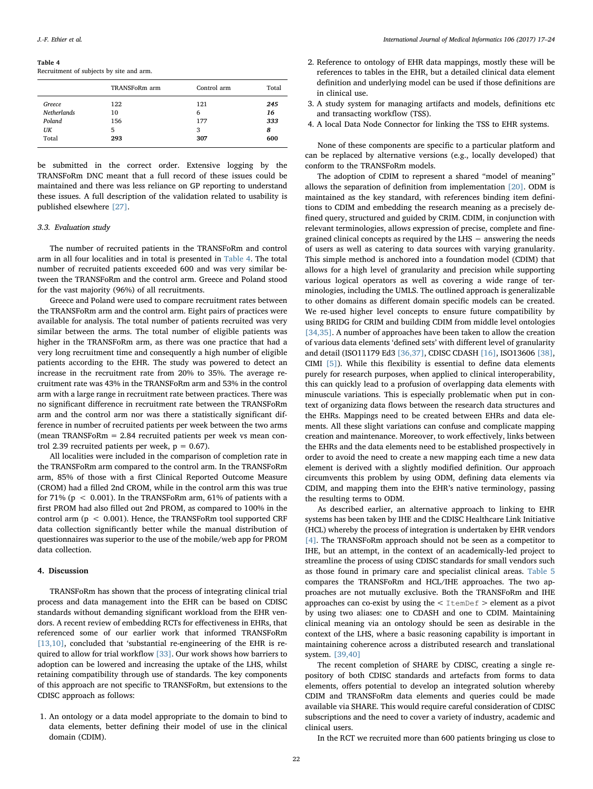#### <span id="page-5-0"></span>Table 4

Recruitment of subjects by site and arm.

|                    | TRANSFoRm arm | Control arm | Total |
|--------------------|---------------|-------------|-------|
| Greece             | 122           | 121         | 245   |
| <b>Netherlands</b> | 10            | 6           | 16    |
| Poland             | 156           | 177         | 333   |
| UK                 | 5             | 3           | 8     |
| Total              | 293           | 307         | 600   |

be submitted in the correct order. Extensive logging by the TRANSFoRm DNC meant that a full record of these issues could be maintained and there was less reliance on GP reporting to understand these issues. A full description of the validation related to usability is published elsewhere [\[27\]](#page-7-22).

### 3.3. Evaluation study

The number of recruited patients in the TRANSFoRm and control arm in all four localities and in total is presented in [Table 4.](#page-5-0) The total number of recruited patients exceeded 600 and was very similar between the TRANSFoRm and the control arm. Greece and Poland stood for the vast majority (96%) of all recruitments.

Greece and Poland were used to compare recruitment rates between the TRANSFoRm arm and the control arm. Eight pairs of practices were available for analysis. The total number of patients recruited was very similar between the arms. The total number of eligible patients was higher in the TRANSFoRm arm, as there was one practice that had a very long recruitment time and consequently a high number of eligible patients according to the EHR. The study was powered to detect an increase in the recruitment rate from 20% to 35%. The average recruitment rate was 43% in the TRANSFoRm arm and 53% in the control arm with a large range in recruitment rate between practices. There was no significant difference in recruitment rate between the TRANSFoRm arm and the control arm nor was there a statistically significant difference in number of recruited patients per week between the two arms (mean TRANSFoRm = 2.84 recruited patients per week vs mean control 2.39 recruited patients per week,  $p = 0.67$ ).

All localities were included in the comparison of completion rate in the TRANSFoRm arm compared to the control arm. In the TRANSFoRm arm, 85% of those with a first Clinical Reported Outcome Measure (CROM) had a filled 2nd CROM, while in the control arm this was true for 71% ( $p < 0.001$ ). In the TRANSFoRm arm, 61% of patients with a first PROM had also filled out 2nd PROM, as compared to 100% in the control arm (p < 0.001). Hence, the TRANSFoRm tool supported CRF data collection significantly better while the manual distribution of questionnaires was superior to the use of the mobile/web app for PROM data collection.

### 4. Discussion

TRANSFoRm has shown that the process of integrating clinical trial process and data management into the EHR can be based on CDISC standards without demanding significant workload from the EHR vendors. A recent review of embedding RCTs for effectiveness in EHRs, that referenced some of our earlier work that informed TRANSFoRm [\[13,10\],](#page-7-27) concluded that 'substantial re-engineering of the EHR is re-quired to allow for trial workflow [\[33\]](#page-7-28). Our work shows how barriers to adoption can be lowered and increasing the uptake of the LHS, whilst retaining compatibility through use of standards. The key components of this approach are not specific to TRANSFoRm, but extensions to the CDISC approach as follows:

1. An ontology or a data model appropriate to the domain to bind to data elements, better defining their model of use in the clinical domain (CDIM).

- 2. Reference to ontology of EHR data mappings, mostly these will be references to tables in the EHR, but a detailed clinical data element definition and underlying model can be used if those definitions are in clinical use.
- 3. A study system for managing artifacts and models, definitions etc and transacting workflow (TSS).
- 4. A local Data Node Connector for linking the TSS to EHR systems.

None of these components are specific to a particular platform and can be replaced by alternative versions (e.g., locally developed) that conform to the TRANSFoRm models.

The adoption of CDIM to represent a shared "model of meaning" allows the separation of definition from implementation [\[20\].](#page-7-17) ODM is maintained as the key standard, with references binding item definitions to CDIM and embedding the research meaning as a precisely defined query, structured and guided by CRIM. CDIM, in conjunction with relevant terminologies, allows expression of precise, complete and finegrained clinical concepts as required by the LHS − answering the needs of users as well as catering to data sources with varying granularity. This simple method is anchored into a foundation model (CDIM) that allows for a high level of granularity and precision while supporting various logical operators as well as covering a wide range of terminologies, including the UMLS. The outlined approach is generalizable to other domains as different domain specific models can be created. We re-used higher level concepts to ensure future compatibility by using BRIDG for CRIM and building CDIM from middle level ontologies [\[34,35\].](#page-7-29) A number of approaches have been taken to allow the creation of various data elements 'defined sets' with different level of granularity and detail (ISO11179 Ed3 [\[36,37\]](#page-7-30), CDISC CDASH [\[16\]](#page-7-13), ISO13606 [\[38\]](#page-7-31), CIMI [\[5\]\)](#page-7-32). While this flexibility is essential to define data elements purely for research purposes, when applied to clinical interoperability, this can quickly lead to a profusion of overlapping data elements with minuscule variations. This is especially problematic when put in context of organizing data flows between the research data structures and the EHRs. Mappings need to be created between EHRs and data elements. All these slight variations can confuse and complicate mapping creation and maintenance. Moreover, to work effectively, links between the EHRs and the data elements need to be established prospectively in order to avoid the need to create a new mapping each time a new data element is derived with a slightly modified definition. Our approach circumvents this problem by using ODM, defining data elements via CDIM, and mapping them into the EHR's native terminology, passing the resulting terms to ODM.

As described earlier, an alternative approach to linking to EHR systems has been taken by IHE and the CDISC Healthcare Link Initiative (HCL) whereby the process of integration is undertaken by EHR vendors [\[4\].](#page-7-3) The TRANSFoRm approach should not be seen as a competitor to IHE, but an attempt, in the context of an academically-led project to streamline the process of using CDISC standards for small vendors such as those found in primary care and specialist clinical areas. [Table 5](#page-6-0) compares the TRANSFoRm and HCL/IHE approaches. The two approaches are not mutually exclusive. Both the TRANSFoRm and IHE approaches can co-exist by using the < ItemDef > element as a pivot by using two aliases: one to CDASH and one to CDIM. Maintaining clinical meaning via an ontology should be seen as desirable in the context of the LHS, where a basic reasoning capability is important in maintaining coherence across a distributed research and translational system. [\[39,40\]](#page-7-33)

The recent completion of SHARE by CDISC, creating a single repository of both CDISC standards and artefacts from forms to data elements, offers potential to develop an integrated solution whereby CDIM and TRANSFoRm data elements and queries could be made available via SHARE. This would require careful consideration of CDISC subscriptions and the need to cover a variety of industry, academic and clinical users.

In the RCT we recruited more than 600 patients bringing us close to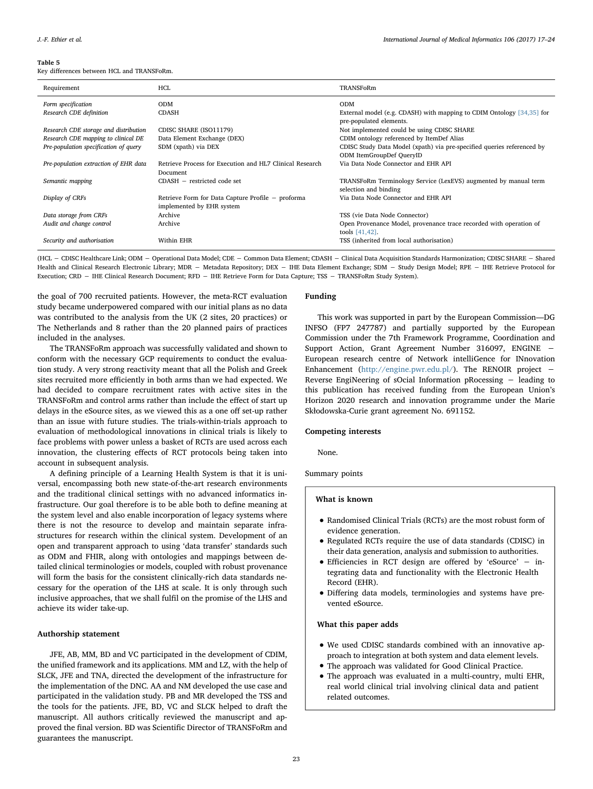<span id="page-6-0"></span>Key differences between HCL and TRANSFoRm.

| Requirement                           | HCL                                                                            | TRANSFoRm                                                                                        |
|---------------------------------------|--------------------------------------------------------------------------------|--------------------------------------------------------------------------------------------------|
| Form specification                    | <b>ODM</b>                                                                     | <b>ODM</b>                                                                                       |
| Research CDE definition               | <b>CDASH</b>                                                                   | External model (e.g. CDASH) with mapping to CDIM Ontology [34,35] for<br>pre-populated elements. |
| Research CDE storage and distribution | CDISC SHARE (ISO11179)                                                         | Not implemented could be using CDISC SHARE                                                       |
| Research CDE mapping to clinical DE   | Data Element Exchange (DEX)                                                    | CDIM ontology referenced by ItemDef Alias                                                        |
| Pre-population specification of query | SDM (xpath) via DEX                                                            | CDISC Study Data Model (xpath) via pre-specified queries referenced by                           |
|                                       |                                                                                | ODM ItemGroupDef QueryID                                                                         |
| Pre-population extraction of EHR data | Retrieve Process for Execution and HL7 Clinical Research<br>Document           | Via Data Node Connector and EHR API                                                              |
| Semantic mapping                      | $CDASH$ – restricted code set                                                  | TRANSFoRm Terminology Service (LexEVS) augmented by manual term<br>selection and binding         |
| Display of CRFs                       | Retrieve Form for Data Capture Profile - proforma<br>implemented by EHR system | Via Data Node Connector and EHR API                                                              |
| Data storage from CRFs                | Archive                                                                        | TSS (vie Data Node Connector)                                                                    |
| Audit and change control              | Archive                                                                        | Open Provenance Model, provenance trace recorded with operation of<br>tools $[41, 42]$ .         |
| Security and authorisation            | Within EHR                                                                     | TSS (inherited from local authorisation)                                                         |

(HCL − CDISC Healthcare Link; ODM − Operational Data Model; CDE − Common Data Element; CDASH − Clinical Data Acquisition Standards Harmonization; CDISC SHARE − Shared Health and Clinical Research Electronic Library; MDR - Metadata Repository; DEX - IHE Data Element Exchange; SDM - Study Design Model; RPE - IHE Retrieve Protocol for Execution; CRD − IHE Clinical Research Document; RFD − IHE Retrieve Form for Data Capture; TSS − TRANSFoRm Study System).

the goal of 700 recruited patients. However, the meta-RCT evaluation study became underpowered compared with our initial plans as no data was contributed to the analysis from the UK (2 sites, 20 practices) or The Netherlands and 8 rather than the 20 planned pairs of practices included in the analyses.

The TRANSFoRm approach was successfully validated and shown to conform with the necessary GCP requirements to conduct the evaluation study. A very strong reactivity meant that all the Polish and Greek sites recruited more efficiently in both arms than we had expected. We had decided to compare recruitment rates with active sites in the TRANSFoRm and control arms rather than include the effect of start up delays in the eSource sites, as we viewed this as a one off set-up rather than an issue with future studies. The trials-within-trials approach to evaluation of methodological innovations in clinical trials is likely to face problems with power unless a basket of RCTs are used across each innovation, the clustering effects of RCT protocols being taken into account in subsequent analysis.

A defining principle of a Learning Health System is that it is universal, encompassing both new state-of-the-art research environments and the traditional clinical settings with no advanced informatics infrastructure. Our goal therefore is to be able both to define meaning at the system level and also enable incorporation of legacy systems where there is not the resource to develop and maintain separate infrastructures for research within the clinical system. Development of an open and transparent approach to using 'data transfer' standards such as ODM and FHIR, along with ontologies and mappings between detailed clinical terminologies or models, coupled with robust provenance will form the basis for the consistent clinically-rich data standards necessary for the operation of the LHS at scale. It is only through such inclusive approaches, that we shall fulfil on the promise of the LHS and achieve its wider take-up.

#### Authorship statement

JFE, AB, MM, BD and VC participated in the development of CDIM, the unified framework and its applications. MM and LZ, with the help of SLCK, JFE and TNA, directed the development of the infrastructure for the implementation of the DNC. AA and NM developed the use case and participated in the validation study. PB and MR developed the TSS and the tools for the patients. JFE, BD, VC and SLCK helped to draft the manuscript. All authors critically reviewed the manuscript and approved the final version. BD was Scientific Director of TRANSFoRm and guarantees the manuscript.

### Funding

This work was supported in part by the European Commission—DG INFSO (FP7 247787) and partially supported by the European Commission under the 7th Framework Programme, Coordination and Support Action, Grant Agreement Number 316097, ENGINE − European research centre of Network intelliGence for INnovation Enhancement (<http://engine.pwr.edu.pl/>). The RENOIR project − Reverse EngiNeering of sOcial Information pRocessing − leading to this publication has received funding from the European Union's Horizon 2020 research and innovation programme under the Marie Skłodowska-Curie grant agreement No. 691152.

### Competing interests

None.

Summary points

### What is known

- Randomised Clinical Trials (RCTs) are the most robust form of evidence generation.
- Regulated RCTs require the use of data standards (CDISC) in their data generation, analysis and submission to authorities.
- <sup>E</sup>fficiencies in RCT design are offered by 'eSource' <sup>−</sup> integrating data and functionality with the Electronic Health Record (EHR).
- Differing data models, terminologies and systems have prevented eSource.

### What this paper adds

- We used CDISC standards combined with an innovative approach to integration at both system and data element levels.
- The approach was validated for Good Clinical Practice.
- The approach was evaluated in a multi-country, multi EHR, real world clinical trial involving clinical data and patient related outcomes.